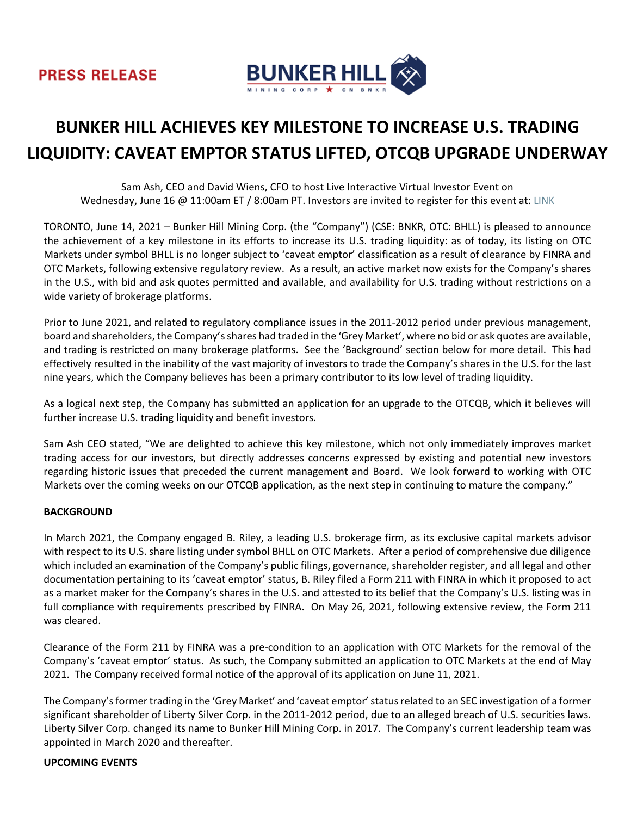

# **BUNKER HILL ACHIEVES KEY MILESTONE TO INCREASE U.S. TRADING LIQUIDITY: CAVEAT EMPTOR STATUS LIFTED, OTCQB UPGRADE UNDERWAY**

Sam Ash, CEO and David Wiens, CFO to host Live Interactive Virtual Investor Event on Wednesday, June 16 @ 11:00am ET / 8:00am PT. Investors are invited to register for this event at: [LINK](https://my.6ix.com/vmIclTw_)

TORONTO, June 14, 2021 – Bunker Hill Mining Corp. (the "Company") (CSE: BNKR, OTC: BHLL) is pleased to announce the achievement of a key milestone in its efforts to increase its U.S. trading liquidity: as of today, its listing on OTC Markets under symbol BHLL is no longer subject to 'caveat emptor' classification as a result of clearance by FINRA and OTC Markets, following extensive regulatory review. As a result, an active market now exists for the Company's shares in the U.S., with bid and ask quotes permitted and available, and availability for U.S. trading without restrictions on a wide variety of brokerage platforms.

Prior to June 2021, and related to regulatory compliance issues in the 2011-2012 period under previous management, board and shareholders, the Company's shares had traded in the 'Grey Market', where no bid or ask quotes are available, and trading is restricted on many brokerage platforms. See the 'Background' section below for more detail. This had effectively resulted in the inability of the vast majority of investors to trade the Company's shares in the U.S. for the last nine years, which the Company believes has been a primary contributor to its low level of trading liquidity.

As a logical next step, the Company has submitted an application for an upgrade to the OTCQB, which it believes will further increase U.S. trading liquidity and benefit investors.

Sam Ash CEO stated, "We are delighted to achieve this key milestone, which not only immediately improves market trading access for our investors, but directly addresses concerns expressed by existing and potential new investors regarding historic issues that preceded the current management and Board. We look forward to working with OTC Markets over the coming weeks on our OTCQB application, as the next step in continuing to mature the company."

## **BACKGROUND**

In March 2021, the Company engaged B. Riley, a leading U.S. brokerage firm, as its exclusive capital markets advisor with respect to its U.S. share listing under symbol BHLL on OTC Markets. After a period of comprehensive due diligence which included an examination of the Company's public filings, governance, shareholder register, and all legal and other documentation pertaining to its 'caveat emptor' status, B. Riley filed a Form 211 with FINRA in which it proposed to act as a market maker for the Company's shares in the U.S. and attested to its belief that the Company's U.S. listing was in full compliance with requirements prescribed by FINRA. On May 26, 2021, following extensive review, the Form 211 was cleared.

Clearance of the Form 211 by FINRA was a pre-condition to an application with OTC Markets for the removal of the Company's 'caveat emptor' status. As such, the Company submitted an application to OTC Markets at the end of May 2021. The Company received formal notice of the approval of its application on June 11, 2021.

The Company's former trading in the 'Grey Market' and 'caveat emptor' status related to an SEC investigation of a former significant shareholder of Liberty Silver Corp. in the 2011-2012 period, due to an alleged breach of U.S. securities laws. Liberty Silver Corp. changed its name to Bunker Hill Mining Corp. in 2017. The Company's current leadership team was appointed in March 2020 and thereafter.

#### **UPCOMING EVENTS**